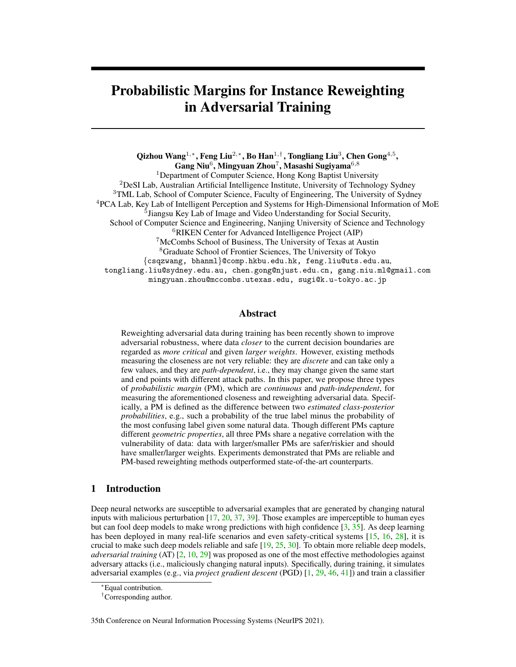# Probabilistic Margins for Instance Reweighting in Adversarial Training

Qizhou Wang $^{1,\ast},$  Feng Liu $^{2,\ast},$  Bo Han $^{1,\dagger},$  Tongliang Liu $^3,$  Chen Gong $^{4,5},$  $\mathbf{Gang Niu}^6, \mathbf{Mingyuan Zhou}^7, \mathbf{Masashi Sugiyama}^{6,8}$ <sup>1</sup>Department of Computer Science, Hong Kong Baptist University <sup>2</sup>DeSI Lab, Australian Artificial Intelligence Institute, University of Technology Sydney <sup>3</sup>TML Lab, School of Computer Science, Faculty of Engineering, The University of Sydney <sup>4</sup>PCA Lab, Key Lab of Intelligent Perception and Systems for High-Dimensional Information of MoE <sup>5</sup> Jiangsu Key Lab of Image and Video Understanding for Social Security, School of Computer Science and Engineering, Nanjing University of Science and Technology <sup>6</sup>RIKEN Center for Advanced Intelligence Project (AIP) <sup>7</sup>McCombs School of Business, The University of Texas at Austin <sup>8</sup>Graduate School of Frontier Sciences, The University of Tokyo {csqzwang, bhanml}@comp.hkbu.edu.hk, feng.liu@uts.edu.au, tongliang.liu@sydney.edu.au, chen.gong@njust.edu.cn, gang.niu.ml@gmail.com mingyuan.zhou@mccombs.utexas.edu, sugi@k.u-tokyo.ac.jp

## Abstract

Reweighting adversarial data during training has been recently shown to improve adversarial robustness, where data *closer* to the current decision boundaries are regarded as *more critical* and given *larger weights*. However, existing methods measuring the closeness are not very reliable: they are *discrete* and can take only a few values, and they are *path-dependent*, i.e., they may change given the same start and end points with different attack paths. In this paper, we propose three types of *probabilistic margin* (PM), which are *continuous* and *path-independent*, for measuring the aforementioned closeness and reweighting adversarial data. Specifically, a PM is defined as the difference between two *estimated class-posterior probabilities*, e.g., such a probability of the true label minus the probability of the most confusing label given some natural data. Though different PMs capture different *geometric properties*, all three PMs share a negative correlation with the vulnerability of data: data with larger/smaller PMs are safer/riskier and should have smaller/larger weights. Experiments demonstrated that PMs are reliable and PM-based reweighting methods outperformed state-of-the-art counterparts.

## 1 Introduction

Deep neural networks are susceptible to adversarial examples that are generated by changing natural inputs with malicious perturbation [\[17,](#page-9-0) [20,](#page-10-0) [37,](#page-10-1) [39\]](#page-11-0). Those examples are imperceptible to human eyes but can fool deep models to make wrong predictions with high confidence [\[3,](#page-9-1) [35\]](#page-10-2). As deep learning has been deployed in many real-life scenarios and even safety-critical systems [\[15,](#page-9-2) [16,](#page-9-3) [28\]](#page-10-3), it is crucial to make such deep models reliable and safe [\[19,](#page-10-4) [25,](#page-10-5) [30\]](#page-10-6). To obtain more reliable deep models, *adversarial training* (AT) [\[2,](#page-9-4) [10,](#page-9-5) [29\]](#page-10-7) was proposed as one of the most effective methodologies against adversary attacks (i.e., maliciously changing natural inputs). Specifically, during training, it simulates adversarial examples (e.g., via *project gradient descent* (PGD) [\[1,](#page-9-6) [29,](#page-10-7) [46,](#page-11-1) [41\]](#page-11-2)) and train a classifier

35th Conference on Neural Information Processing Systems (NeurIPS 2021).

<sup>∗</sup>Equal contribution.

<sup>†</sup>Corresponding author.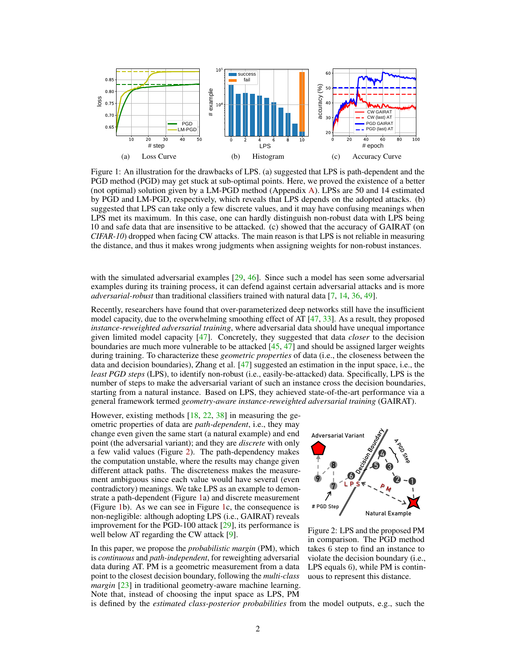

<span id="page-1-1"></span>Figure 1: An illustration for the drawbacks of LPS. (a) suggested that LPS is path-dependent and the PGD method (PGD) may get stuck at sub-optimal points. Here, we proved the existence of a better (not optimal) solution given by a LM-PGD method (Appendix A). LPSs are 50 and 14 estimated by PGD and LM-PGD, respectively, which reveals that LPS depends on the adopted attacks. (b) suggested that LPS can take only a few discrete values, and it may have confusing meanings when LPS met its maximum. In this case, one can hardly distinguish non-robust data with LPS being 10 and safe data that are insensitive to be attacked. (c) showed that the accuracy of GAIRAT (on *CIFAR-10*) dropped when facing CW attacks. The main reason is that LPS is not reliable in measuring the distance, and thus it makes wrong judgments when assigning weights for non-robust instances.

with the simulated adversarial examples [\[29,](#page-10-7) [46\]](#page-11-1). Since such a model has seen some adversarial examples during its training process, it can defend against certain adversarial attacks and is more *adversarial-robust* than traditional classifiers trained with natural data [\[7,](#page-9-7) [14,](#page-9-8) [36,](#page-10-8) [49\]](#page-11-3).

Recently, researchers have found that over-parameterized deep networks still have the insufficient model capacity, due to the overwhelming smoothing effect of AT  $[47, 33]$  $[47, 33]$  $[47, 33]$ . As a result, they proposed *instance-reweighted adversarial training*, where adversarial data should have unequal importance given limited model capacity [\[47\]](#page-11-4). Concretely, they suggested that data *closer* to the decision boundaries are much more vulnerable to be attacked  $[45, 47]$  $[45, 47]$  $[45, 47]$  and should be assigned larger weights during training. To characterize these *geometric properties* of data (i.e., the closeness between the data and decision boundaries), Zhang et al. [\[47\]](#page-11-4) suggested an estimation in the input space, i.e., the *least PGD steps* (LPS), to identify non-robust (i.e., easily-be-attacked) data. Specifically, LPS is the number of steps to make the adversarial variant of such an instance cross the decision boundaries, starting from a natural instance. Based on LPS, they achieved state-of-the-art performance via a general framework termed *geometry-aware instance-reweighted adversarial training* (GAIRAT).

However, existing methods  $[18, 22, 38]$  $[18, 22, 38]$  $[18, 22, 38]$  $[18, 22, 38]$  $[18, 22, 38]$  in measuring the geometric properties of data are *path-dependent*, i.e., they may change even given the same start (a natural example) and end point (the adversarial variant); and they are *discrete* with only a few valid values (Figure [2\)](#page-1-0). The path-dependency makes the computation unstable, where the results may change given different attack paths. The discreteness makes the measurement ambiguous since each value would have several (even contradictory) meanings. We take LPS as an example to demonstrate a path-dependent (Figure [1a](#page-1-1)) and discrete measurement (Figure [1b](#page-1-1)). As we can see in Figure [1c](#page-1-1), the consequence is non-negligible: although adopting LPS (i.e., GAIRAT) reveals improvement for the PGD-100 attack [\[29\]](#page-10-7), its performance is well below AT regarding the CW attack [\[9\]](#page-9-10).

In this paper, we propose the *probabilistic margin* (PM), which is *continuous* and *path-independent*, for reweighting adversarial data during AT. PM is a geometric measurement from a data point to the closest decision boundary, following the *multi-class margin* [\[23\]](#page-10-12) in traditional geometry-aware machine learning. Note that, instead of choosing the input space as LPS, PM



<span id="page-1-0"></span>Figure 2: LPS and the proposed PM in comparison. The PGD method takes 6 step to find an instance to violate the decision boundary (i.e., LPS equals 6), while PM is continuous to represent this distance.

is defined by the *estimated class-posterior probabilities* from the model outputs, e.g., such the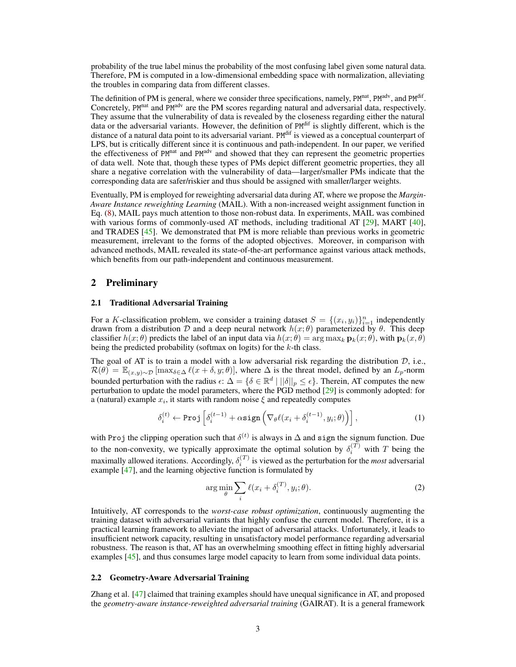probability of the true label minus the probability of the most confusing label given some natural data. Therefore, PM is computed in a low-dimensional embedding space with normalization, alleviating the troubles in comparing data from different classes.

The definition of PM is general, where we consider three specifications, namely, PM<sup>nat</sup>, PM<sup>adv</sup>, and PM<sup>dif</sup>. Concretely, PM<sup>nat</sup> and PM<sup>adv</sup> are the PM scores regarding natural and adversarial data, respectively. They assume that the vulnerability of data is revealed by the closeness regarding either the natural data or the adversarial variants. However, the definition of PM<sup>dif</sup> is slightly different, which is the distance of a natural data point to its adversarial variant. PM<sup>dif</sup> is viewed as a conceptual counterpart of LPS, but is critically different since it is continuous and path-independent. In our paper, we verified the effectiveness of  $PM<sup>nat</sup>$  and  $PM<sup>adt</sup>$  and showed that they can represent the geometric properties of data well. Note that, though these types of PMs depict different geometric properties, they all share a negative correlation with the vulnerability of data—larger/smaller PMs indicate that the corresponding data are safer/riskier and thus should be assigned with smaller/larger weights.

Eventually, PM is employed for reweighting adversarial data during AT, where we propose the *Margin-Aware Instance reweighting Learning* (MAIL). With a non-increased weight assignment function in Eq. [\(8\)](#page-5-0), MAIL pays much attention to those non-robust data. In experiments, MAIL was combined with various forms of commonly-used AT methods, including traditional AT [\[29\]](#page-10-7), MART [\[40\]](#page-11-6), and TRADES  $[45]$ . We demonstrated that PM is more reliable than previous works in geometric measurement, irrelevant to the forms of the adopted objectives. Moreover, in comparison with advanced methods, MAIL revealed its state-of-the-art performance against various attack methods, which benefits from our path-independent and continuous measurement.

## 2 Preliminary

## 2.1 Traditional Adversarial Training

For a K-classification problem, we consider a training dataset  $S = \{(x_i, y_i)\}_{i=1}^n$  independently drawn from a distribution D and a deep neural network  $h(x; \theta)$  parameterized by  $\theta$ . This deep classifier  $h(x; \theta)$  predicts the label of an input data via  $h(x; \theta) = \arg \max_k \mathbf{p}_k(x; \theta)$ , with  $\mathbf{p}_k(x; \theta)$ being the predicted probability (softmax on logits) for the  $k$ -th class.

The goal of AT is to train a model with a low adversarial risk regarding the distribution  $D$ , i.e.,  $\mathcal{R}(\theta) = \mathbb{E}_{(x,y)\sim\mathcal{D}}[\max_{\delta \in \Delta} \ell(x+\delta, y;\theta)],$  where  $\Delta$  is the threat model, defined by an  $L_p$ -norm bounded perturbation with the radius  $\epsilon: \Delta = \{ \delta \in \mathbb{R}^d \mid ||\delta||_p \leq \epsilon \}.$  Therein, AT computes the new perturbation to update the model parameters, where the PGD method [\[29\]](#page-10-7) is commonly adopted: for a (natural) example  $x_i$ , it starts with random noise  $\xi$  and repeatedly computes

<span id="page-2-1"></span>
$$
\delta_i^{(t)} \leftarrow \text{Proj}\left[\delta_i^{(t-1)} + \alpha \text{sign}\left(\nabla_{\theta}\ell(x_i + \delta_i^{(t-1)}, y_i; \theta)\right)\right],\tag{1}
$$

with Proj the clipping operation such that  $\delta^{(t)}$  is always in  $\Delta$  and sign the signum function. Due to the non-convexity, we typically approximate the optimal solution by  $\delta_i^{(T)}$  with T being the maximally allowed iterations. Accordingly,  $\delta_i^{(T)}$  is viewed as the perturbation for the *most* adversarial example [\[47\]](#page-11-4), and the learning objective function is formulated by

<span id="page-2-0"></span>
$$
\arg\min_{\theta} \sum_{i} \ell(x_i + \delta_i^{(T)}, y_i; \theta). \tag{2}
$$

Intuitively, AT corresponds to the *worst-case robust optimization*, continuously augmenting the training dataset with adversarial variants that highly confuse the current model. Therefore, it is a practical learning framework to alleviate the impact of adversarial attacks. Unfortunately, it leads to insufficient network capacity, resulting in unsatisfactory model performance regarding adversarial robustness. The reason is that, AT has an overwhelming smoothing effect in fitting highly adversarial examples [\[45\]](#page-11-5), and thus consumes large model capacity to learn from some individual data points.

## <span id="page-2-2"></span>2.2 Geometry-Aware Adversarial Training

Zhang et al. [\[47\]](#page-11-4) claimed that training examples should have unequal significance in AT, and proposed the *geometry-aware instance-reweighted adversarial training* (GAIRAT). It is a general framework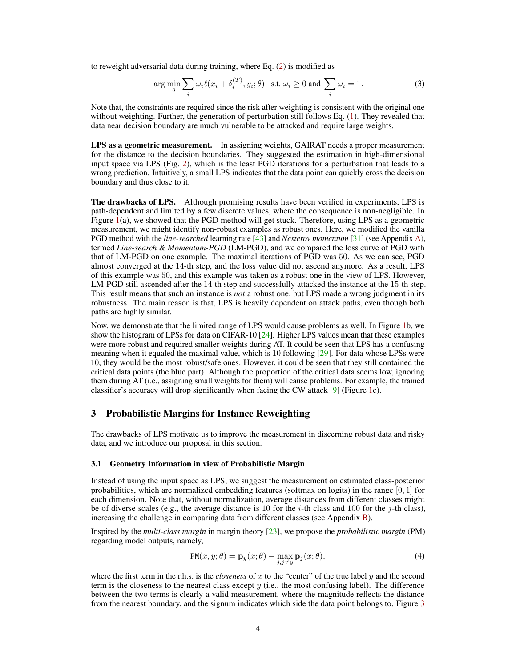to reweight adversarial data during training, where Eq. [\(2\)](#page-2-0) is modified as

<span id="page-3-0"></span>
$$
\arg\min_{\theta} \sum_{i} \omega_i \ell(x_i + \delta_i^{(T)}, y_i; \theta) \quad \text{s.t. } \omega_i \ge 0 \text{ and } \sum_{i} \omega_i = 1. \tag{3}
$$

Note that, the constraints are required since the risk after weighting is consistent with the original one without weighting. Further, the generation of perturbation still follows Eq. [\(1\)](#page-2-1). They revealed that data near decision boundary are much vulnerable to be attacked and require large weights.

LPS as a geometric measurement. In assigning weights, GAIRAT needs a proper measurement for the distance to the decision boundaries. They suggested the estimation in high-dimensional input space via LPS (Fig. [2\)](#page-1-0), which is the least PGD iterations for a perturbation that leads to a wrong prediction. Intuitively, a small LPS indicates that the data point can quickly cross the decision boundary and thus close to it.

The drawbacks of LPS. Although promising results have been verified in experiments, LPS is path-dependent and limited by a few discrete values, where the consequence is non-negligible. In Figure [1\(](#page-1-1)a), we showed that the PGD method will get stuck. Therefore, using LPS as a geometric measurement, we might identify non-robust examples as robust ones. Here, we modified the vanilla PGD method with the *line-searched* learning rate [\[43\]](#page-11-7) and *Nesterov momentum* [\[31\]](#page-10-13) (see Appendix A), termed *Line-search & Momentum-PGD* (LM-PGD), and we compared the loss curve of PGD with that of LM-PGD on one example. The maximal iterations of PGD was 50. As we can see, PGD almost converged at the 14-th step, and the loss value did not ascend anymore. As a result, LPS of this example was 50, and this example was taken as a robust one in the view of LPS. However, LM-PGD still ascended after the 14-th step and successfully attacked the instance at the 15-th step. This result means that such an instance is *not* a robust one, but LPS made a wrong judgment in its robustness. The main reason is that, LPS is heavily dependent on attack paths, even though both paths are highly similar.

Now, we demonstrate that the limited range of LPS would cause problems as well. In Figure [1b](#page-1-1), we show the histogram of LPSs for data on CIFAR-10 [\[24\]](#page-10-14). Higher LPS values mean that these examples were more robust and required smaller weights during AT. It could be seen that LPS has a confusing meaning when it equaled the maximal value, which is 10 following [\[29\]](#page-10-7). For data whose LPSs were 10, they would be the most robust/safe ones. However, it could be seen that they still contained the critical data points (the blue part). Although the proportion of the critical data seems low, ignoring them during AT (i.e., assigning small weights for them) will cause problems. For example, the trained classifier's accuracy will drop significantly when facing the CW attack [\[9\]](#page-9-10) (Figure [1c](#page-1-1)).

## 3 Probabilistic Margins for Instance Reweighting

The drawbacks of LPS motivate us to improve the measurement in discerning robust data and risky data, and we introduce our proposal in this section.

#### 3.1 Geometry Information in view of Probabilistic Margin

Instead of using the input space as LPS, we suggest the measurement on estimated class-posterior probabilities, which are normalized embedding features (softmax on logits) in the range  $[0, 1]$  for each dimension. Note that, without normalization, average distances from different classes might be of diverse scales (e.g., the average distance is 10 for the *i*-th class and 100 for the *j*-th class), increasing the challenge in comparing data from different classes (see Appendix B).

Inspired by the *multi-class margin* in margin theory [\[23\]](#page-10-12), we propose the *probabilistic margin* (PM) regarding model outputs, namely,

$$
PM(x, y; \theta) = \mathbf{p}_y(x; \theta) - \max_{j, j \neq y} \mathbf{p}_j(x; \theta),
$$
\n(4)

where the first term in the r.h.s. is the *closeness* of x to the "center" of the true label  $\gamma$  and the second term is the closeness to the nearest class except  $\gamma$  (i.e., the most confusing label). The difference between the two terms is clearly a valid measurement, where the magnitude reflects the distance from the nearest boundary, and the signum indicates which side the data point belongs to. Figure [3](#page-4-0)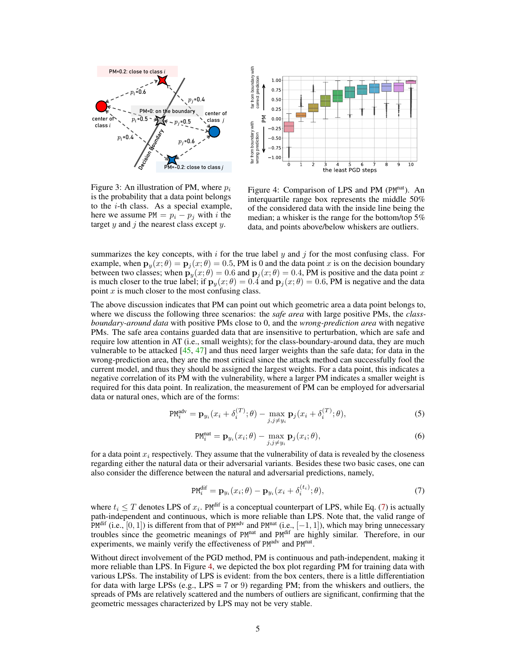



<span id="page-4-0"></span>Figure 3: An illustration of PM, where  $p_i$ is the probability that a data point belongs to the  $i$ -th class. As a special example, here we assume  $PM = p_i - p_j$  with i the target  $y$  and  $j$  the nearest class except  $y$ .

<span id="page-4-2"></span>Figure 4: Comparison of LPS and PM (PM<sup>nat</sup>). An interquartile range box represents the middle 50% of the considered data with the inside line being the median; a whisker is the range for the bottom/top 5% data, and points above/below whiskers are outliers.

summarizes the key concepts, with  $i$  for the true label  $y$  and  $j$  for the most confusing class. For example, when  $\mathbf{p}_y(x; \theta) = \mathbf{p}_j(x; \theta) = 0.5$ , PM is 0 and the data point x is on the decision boundary between two classes; when  $\mathbf{p}_y(x;\theta) = 0.6$  and  $\mathbf{p}_j(x;\theta) = 0.4$ , PM is positive and the data point x is much closer to the true label; if  $\mathbf{p}_y(x;\theta) = 0.\dot{4}$  and  $\mathbf{p}_j(x;\theta) = 0.6$ , PM is negative and the data point  $x$  is much closer to the most confusing class.

The above discussion indicates that PM can point out which geometric area a data point belongs to, where we discuss the following three scenarios: the *safe area* with large positive PMs, the *classboundary-around data* with positive PMs close to 0, and the *wrong-prediction area* with negative PMs. The safe area contains guarded data that are insensitive to perturbation, which are safe and require low attention in AT (i.e., small weights); for the class-boundary-around data, they are much vulnerable to be attacked  $[45, 47]$  $[45, 47]$  $[45, 47]$  and thus need larger weights than the safe data; for data in the wrong-prediction area, they are the most critical since the attack method can successfully fool the current model, and thus they should be assigned the largest weights. For a data point, this indicates a negative correlation of its PM with the vulnerability, where a larger PM indicates a smaller weight is required for this data point. In realization, the measurement of PM can be employed for adversarial data or natural ones, which are of the forms:

$$
PM_i^{\text{adv}} = \mathbf{p}_{y_i}(x_i + \delta_i^{(T)}; \theta) - \max_{j, j \neq y_i} \mathbf{p}_j(x_i + \delta_i^{(T)}; \theta),
$$
\n(5)

$$
PM_i^{nat} = \mathbf{p}_{y_i}(x_i; \theta) - \max_{j, j \neq y_i} \mathbf{p}_j(x_i; \theta),
$$
\n(6)

for a data point  $x_i$  respectively. They assume that the vulnerability of data is revealed by the closeness regarding either the natural data or their adversarial variants. Besides these two basic cases, one can also consider the difference between the natural and adversarial predictions, namely,

<span id="page-4-1"></span>
$$
PM_i^{dif} = \mathbf{p}_{y_i}(x_i; \theta) - \mathbf{p}_{y_i}(x_i + \delta_i^{(t_i)}; \theta), \tag{7}
$$

where  $t_i \leq T$  denotes LPS of  $x_i$ . PM<sup>dif</sup> is a conceptual counterpart of LPS, while Eq. [\(7\)](#page-4-1) is actually path-independent and continuous, which is more reliable than LPS. Note that, the valid range of PM<sup>dif</sup> (i.e., [0, 1]) is different from that of PM<sup>adv</sup> and PM<sup>nat</sup> (i.e., [-1, 1]), which may bring unnecessary troubles since the geometric meanings of PM<sup>nat</sup> and PM<sup>dif</sup> are highly similar. Therefore, in our experiments, we mainly verify the effectiveness of PM<sup>adv</sup> and PM<sup>nat</sup>.

Without direct involvement of the PGD method, PM is continuous and path-independent, making it more reliable than LPS. In Figure [4,](#page-4-2) we depicted the box plot regarding PM for training data with various LPSs. The instability of LPS is evident: from the box centers, there is a little differentiation for data with large LPSs (e.g., LPS =  $7$  or  $9$ ) regarding PM; from the whiskers and outliers, the spreads of PMs are relatively scattered and the numbers of outliers are significant, confirming that the geometric messages characterized by LPS may not be very stable.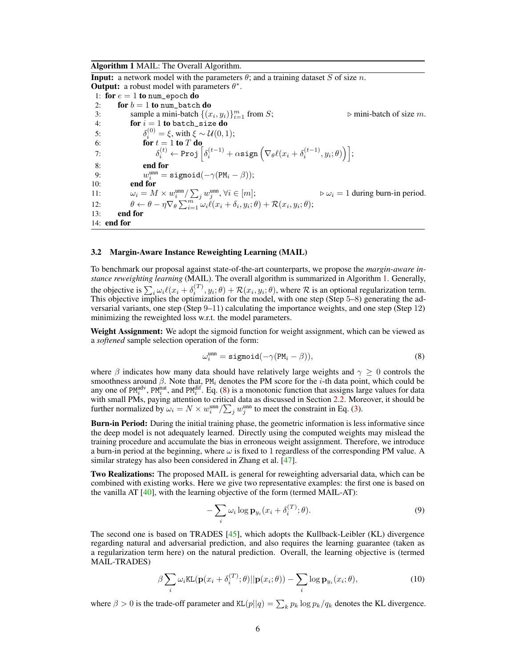#### <span id="page-5-1"></span>Algorithm 1 MAIL: The Overall Algorithm.

**Input:** a network model with the parameters  $\theta$ ; and a training dataset S of size n. **Output:** a robust model with parameters  $\theta^*$ .

1: for  $e = 1$  to num\_epoch do 2: for  $b = 1$  to num\_batch do 3: sample a mini-batch  $\{(x_i, y_i)\}_{i=1}^m$  $\triangleright$  mini-batch of size m. 4: **for**  $i = 1$  to batch\_size **do** 5:  $\delta_i^{(0)} = \xi$ , with  $\xi \sim \mathcal{U}(0, 1)$ ; 6: **for**  $t = 1$  to  $T$  do 7:  $\delta_i^{(t)} \leftarrow \texttt{Proj} \left[ \delta_i^{(t-1)} + \alpha \texttt{sign} \left( \nabla_\theta \ell(x_i + \delta_i^{(t-1)}, y_i; \theta) \right) \right];$ 8: end for 9:  $w_i^{\text{unn}} = \texttt{sigmoid}(-\gamma (PM_i - \beta));$ 10: end for 11:  $\omega_i = M \times w_i^{\text{unn}} / \sum_j w_j^{\text{unn}}, \forall i \in [m];$   $\triangleright \omega_i = 1$  during burn-in period. 12:  $\theta \leftarrow \theta - \eta \nabla_{\theta} \sum_{i=1}^{m} \omega_i \ell(x_i + \delta_i, y_i; \theta) + \mathcal{R}(x_i, y_i; \theta);$ 13: end for 14: end for

#### 3.2 Margin-Aware Instance Reweighting Learning (MAIL)

To benchmark our proposal against state-of-the-art counterparts, we propose the *margin-aware instance reweighting learning* (MAIL). The overall algorithm is summarized in Algorithm [1.](#page-5-1) Generally, the objective is  $\sum_i \omega_i \ell(x_i + \delta_i^{(T)}, y_i; \theta) + \mathcal{R}(x_i, y_i; \theta)$ , where  $\mathcal R$  is an optional regularization term. This objective implies the optimization for the model, with one step (Step 5–8) generating the adversarial variants, one step (Step 9–11) calculating the importance weights, and one step (Step 12) minimizing the reweighted loss w.r.t. the model parameters.

Weight Assignment: We adopt the sigmoid function for weight assignment, which can be viewed as a *softened* sample selection operation of the form:

<span id="page-5-0"></span>
$$
\omega_i^{\text{unn}} = \text{sigmoid}(-\gamma(PM_i - \beta)),\tag{8}
$$

where  $\beta$  indicates how many data should have relatively large weights and  $\gamma \geq 0$  controls the smoothness around  $\beta$ . Note that, PM<sub>i</sub> denotes the PM score for the *i*-th data point, which could be any one of PM<sup>adv</sup>, PM<sup>nat</sup>, and PM<sup>dif</sup>. Eq. [\(8\)](#page-5-0) is a monotonic function that assigns large values for data with small PMs, paying attention to critical data as discussed in Section [2.2.](#page-2-2) Moreover, it should be further normalized by  $\omega_i = N \times w_i^{\text{unn}} / \sum_j w_j^{\text{unn}}$  to meet the constraint in Eq. [\(3\)](#page-3-0).

Burn-in Period: During the initial training phase, the geometric information is less informative since the deep model is not adequately learned. Directly using the computed weights may mislead the training procedure and accumulate the bias in erroneous weight assignment. Therefore, we introduce a burn-in period at the beginning, where  $\omega$  is fixed to 1 regardless of the corresponding PM value. A similar strategy has also been considered in Zhang et al. [\[47\]](#page-11-4).

Two Realizations: The proposed MAIL is general for reweighting adversarial data, which can be combined with existing works. Here we give two representative examples: the first one is based on the vanilla AT  $[40]$ , with the learning objective of the form (termed MAIL-AT):

$$
-\sum_{i}\omega_{i}\log\mathbf{p}_{y_{i}}(x_{i}+\delta_{i}^{(T)};\theta). \tag{9}
$$

The second one is based on TRADES [\[45\]](#page-11-5), which adopts the Kullback-Leibler (KL) divergence regarding natural and adversarial prediction, and also requires the learning guarantee (taken as a regularization term here) on the natural prediction. Overall, the learning objective is (termed MAIL-TRADES)

$$
\beta \sum_{i} \omega_i \text{KL}(\mathbf{p}(x_i + \delta_i^{(T)}; \theta) || \mathbf{p}(x_i; \theta)) - \sum_{i} \log \mathbf{p}_{y_i}(x_i; \theta), \qquad (10)
$$

where  $\beta > 0$  is the trade-off parameter and KL $(p||q) = \sum_k p_k \log p_k / q_k$  denotes the KL divergence.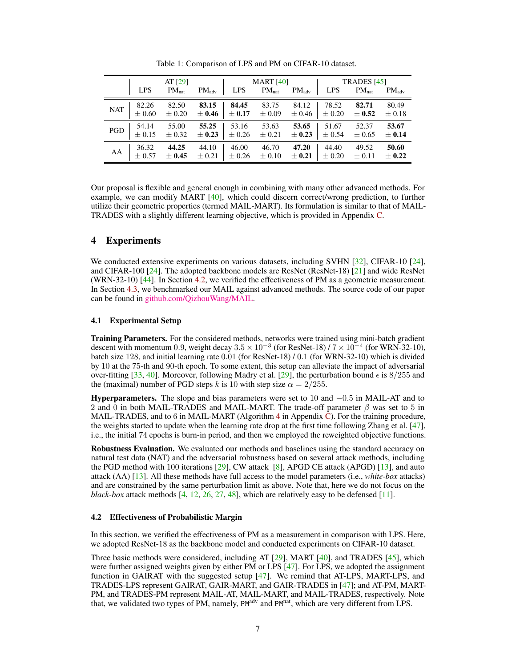|            | AT $[29]$  |            |                   | <b>MART</b> [40] |            |                   | TRADES [45] |            |                   |
|------------|------------|------------|-------------------|------------------|------------|-------------------|-------------|------------|-------------------|
|            | <b>LPS</b> | $PM_{nat}$ | $PM_{\text{adv}}$ | <b>LPS</b>       | $PM_{nat}$ | $PM_{\text{adv}}$ | <b>LPS</b>  | $PM_{nat}$ | $PM_{\text{adv}}$ |
| <b>NAT</b> | 82.26      | 82.50      | 83.15             | 84.45            | 83.75      | 84.12             | 78.52       | 82.71      | 80.49             |
|            | $\pm$ 0.60 | $\pm 0.20$ | $\pm 0.46$        | $\pm 0.17$       | $\pm 0.09$ | $\pm 0.46$        | $\pm 0.20$  | $\pm 0.52$ | $\pm 0.18$        |
| PGD        | 54.14      | 55.00      | 55.25             | 53.16            | 53.63      | 53.65             | 51.67       | 52.37      | 53.67             |
|            | $\pm$ 0.15 | $\pm 0.32$ | $\pm 0.23$        | $\pm 0.26$       | $\pm 0.21$ | $\pm 0.23$        | $\pm 0.54$  | $\pm 0.65$ | $\pm 0.14$        |
| AA         | 36.32      | 44.25      | 44.10             | 46.00            | 46.70      | 47.20             | 44.40       | 49.52      | 50.60             |
|            | $\pm 0.57$ | $\pm 0.45$ | $\pm 0.21$        | $\pm 0.26$       | $\pm 0.10$ | $\pm 0.21$        | $\pm 0.20$  | $\pm 0.11$ | $\pm$ 0.22        |

<span id="page-6-1"></span>Table 1: Comparison of LPS and PM on CIFAR-10 dataset.

Our proposal is flexible and general enough in combining with many other advanced methods. For example, we can modify MART [\[40\]](#page-11-6), which could discern correct/wrong prediction, to further utilize their geometric properties (termed MAIL-MART). Its formulation is similar to that of MAIL-TRADES with a slightly different learning objective, which is provided in Appendix C.

# 4 Experiments

We conducted extensive experiments on various datasets, including SVHN [\[32\]](#page-10-15), CIFAR-10 [\[24\]](#page-10-14), and CIFAR-100 [\[24\]](#page-10-14). The adopted backbone models are ResNet (ResNet-18) [\[21\]](#page-10-16) and wide ResNet (WRN-32-10) [\[44\]](#page-11-8). In Section [4.2,](#page-6-0) we verified the effectiveness of PM as a geometric measurement. In Section [4.3,](#page-7-0) we benchmarked our MAIL against advanced methods. The source code of our paper can be found in [github.com/QizhouWang/MAIL.](https://github.com/QizhouWang/MAIL)

## 4.1 Experimental Setup

Training Parameters. For the considered methods, networks were trained using mini-batch gradient descent with momentum 0.9, weight decay  $3.5 \times 10^{-3}$  (for ResNet-18) /  $7 \times 10^{-4}$  (for WRN-32-10), batch size 128, and initial learning rate 0.01 (for ResNet-18) / 0.1 (for WRN-32-10) which is divided by 10 at the 75-th and 90-th epoch. To some extent, this setup can alleviate the impact of adversarial over-fitting [\[33,](#page-10-9) [40\]](#page-11-6). Moreover, following Madry et al. [\[29\]](#page-10-7), the perturbation bound  $\epsilon$  is 8/255 and the (maximal) number of PGD steps k is 10 with step size  $\alpha = 2/255$ .

**Hyperparameters.** The slope and bias parameters were set to 10 and  $-0.5$  in MAIL-AT and to 2 and 0 in both MAIL-TRADES and MAIL-MART. The trade-off parameter  $\beta$  was set to 5 in MAIL-TRADES, and to 6 in MAIL-MART (Algorithm 4 in Appendix  $\overline{C}$ ). For the training procedure, the weights started to update when the learning rate drop at the first time following Zhang et al. [\[47\]](#page-11-4), i.e., the initial 74 epochs is burn-in period, and then we employed the reweighted objective functions.

Robustness Evaluation. We evaluated our methods and baselines using the standard accuracy on natural test data (NAT) and the adversarial robustness based on several attack methods, including the PGD method with 100 iterations  $[29]$ , CW attack  $[8]$ , APGD CE attack (APGD)  $[13]$ , and auto attack (AA) [\[13\]](#page-9-12). All these methods have full access to the model parameters (i.e., *white-box* attacks) and are constrained by the same perturbation limit as above. Note that, here we do not focus on the *black-box* attack methods [\[4,](#page-9-13) [12,](#page-9-14) [26,](#page-10-17) [27,](#page-10-18) [48\]](#page-11-9), which are relatively easy to be defensed [\[11\]](#page-9-15).

## <span id="page-6-0"></span>4.2 Effectiveness of Probabilistic Margin

In this section, we verified the effectiveness of PM as a measurement in comparison with LPS. Here, we adopted ResNet-18 as the backbone model and conducted experiments on CIFAR-10 dataset.

Three basic methods were considered, including AT [\[29\]](#page-10-7), MART [\[40\]](#page-11-6), and TRADES [\[45\]](#page-11-5), which were further assigned weights given by either PM or LPS [\[47\]](#page-11-4). For LPS, we adopted the assignment function in GAIRAT with the suggested setup  $[47]$ . We remind that AT-LPS, MART-LPS, and TRADES-LPS represent GAIRAT, GAIR-MART, and GAIR-TRADES in [\[47\]](#page-11-4); and AT-PM, MART-PM, and TRADES-PM represent MAIL-AT, MAIL-MART, and MAIL-TRADES, respectively. Note that, we validated two types of PM, namely, PM<sup>adv</sup> and PM<sup>nat</sup>, which are very different from LPS.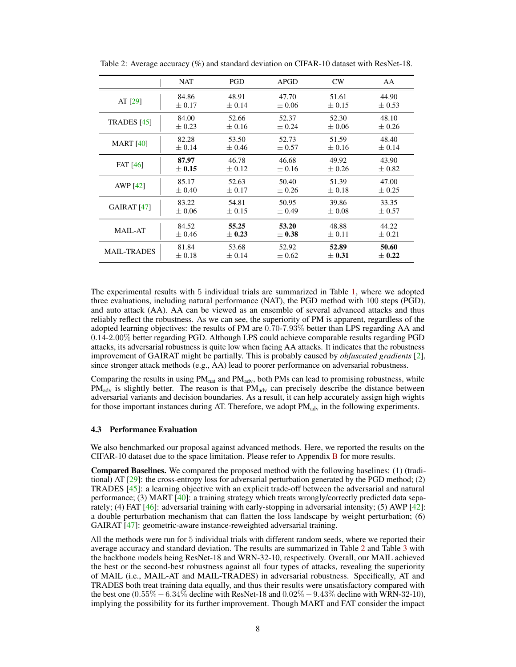|                        | NAT        | PGD        | <b>APGD</b> | CW         | AA         |
|------------------------|------------|------------|-------------|------------|------------|
| AT $[29]$              | 84.86      | 48.91      | 47.70       | 51.61      | 44.90      |
|                        | $\pm 0.17$ | $\pm 0.14$ | $\pm 0.06$  | $\pm$ 0.15 | $\pm 0.53$ |
| <b>TRADES</b> [45]     | 84.00      | 52.66      | 52.37       | 52.30      | 48.10      |
|                        | $\pm 0.23$ | $\pm 0.16$ | $+0.24$     | $\pm 0.06$ | $\pm 0.26$ |
| <b>MART</b> [40]       | 82.28      | 53.50      | 52.73       | 51.59      | 48.40      |
|                        | $\pm 0.14$ | $\pm 0.46$ | $\pm 0.57$  | $\pm 0.16$ | $\pm 0.14$ |
| <b>FAT</b> [46]        | 87.97      | 46.78      | 46.68       | 49.92      | 43.90      |
|                        | $\pm 0.15$ | $\pm$ 0.12 | $\pm 0.16$  | $+0.26$    | $+0.82$    |
| <b>AWP</b> [42]        | 85.17      | 52.63      | 50.40       | 51.39      | 47.00      |
|                        | $\pm 0.40$ | $\pm$ 0.17 | $+0.26$     | $\pm 0.18$ | $+0.25$    |
| GAIRAT <sub>[47]</sub> | 83.22      | 54.81      | 50.95       | 39.86      | 33.35      |
|                        | $\pm 0.06$ | $\pm$ 0.15 | $\pm 0.49$  | $\pm 0.08$ | $\pm 0.57$ |
| <b>MAIL-AT</b>         | 84.52      | 55.25      | 53.20       | 48.88      | 44.22      |
|                        | $\pm 0.46$ | $\pm 0.23$ | $\pm 0.38$  | $\pm 0.11$ | $\pm 0.21$ |
| MAIL-TRADES            | 81.84      | 53.68      | 52.92       | 52.89      | 50.60      |
|                        | $\pm$ 0.18 | $\pm 0.14$ | $\pm 0.62$  | $\pm 0.31$ | $\pm$ 0.22 |

<span id="page-7-1"></span>Table 2: Average accuracy (%) and standard deviation on CIFAR-10 dataset with ResNet-18.

The experimental results with 5 individual trials are summarized in Table [1,](#page-6-1) where we adopted three evaluations, including natural performance (NAT), the PGD method with 100 steps (PGD), and auto attack (AA). AA can be viewed as an ensemble of several advanced attacks and thus reliably reflect the robustness. As we can see, the superiority of PM is apparent, regardless of the adopted learning objectives: the results of PM are 0.70-7.93% better than LPS regarding AA and 0.14-2.00% better regarding PGD. Although LPS could achieve comparable results regarding PGD attacks, its adversarial robustness is quite low when facing AA attacks. It indicates that the robustness improvement of GAIRAT might be partially. This is probably caused by *obfuscated gradients* [\[2\]](#page-9-4), since stronger attack methods (e.g., AA) lead to poorer performance on adversarial robustness.

Comparing the results in using  $PM<sub>nat</sub>$  and  $PM<sub>adv</sub>$ , both PMs can lead to promising robustness, while  $PM<sub>adv</sub>$  is slightly better. The reason is that  $PM<sub>adv</sub>$  can precisely describe the distance between adversarial variants and decision boundaries. As a result, it can help accurately assign high wights for those important instances during AT. Therefore, we adopt  $PM_{adv}$  in the following experiments.

## <span id="page-7-0"></span>4.3 Performance Evaluation

We also benchmarked our proposal against advanced methods. Here, we reported the results on the CIFAR-10 dataset due to the space limitation. Please refer to Appendix B for more results.

Compared Baselines. We compared the proposed method with the following baselines: (1) (traditional) AT [\[29\]](#page-10-7): the cross-entropy loss for adversarial perturbation generated by the PGD method; (2) TRADES [\[45\]](#page-11-5): a learning objective with an explicit trade-off between the adversarial and natural performance; (3) MART [\[40\]](#page-11-6): a training strategy which treats wrongly/correctly predicted data separately; (4) FAT [\[46\]](#page-11-1): adversarial training with early-stopping in adversarial intensity; (5) AWP [\[42\]](#page-11-10): a double perturbation mechanism that can flatten the loss landscape by weight perturbation; (6) GAIRAT [\[47\]](#page-11-4): geometric-aware instance-reweighted adversarial training.

All the methods were run for 5 individual trials with different random seeds, where we reported their average accuracy and standard deviation. The results are summarized in Table [2](#page-7-1) and Table [3](#page-8-0) with the backbone models being ResNet-18 and WRN-32-10, respectively. Overall, our MAIL achieved the best or the second-best robustness against all four types of attacks, revealing the superiority of MAIL (i.e., MAIL-AT and MAIL-TRADES) in adversarial robustness. Specifically, AT and TRADES both treat training data equally, and thus their results were unsatisfactory compared with the best one  $(0.55\% - 6.34\%$  decline with ResNet-18 and  $0.02\% - 9.43\%$  decline with WRN-32-10), implying the possibility for its further improvement. Though MART and FAT consider the impact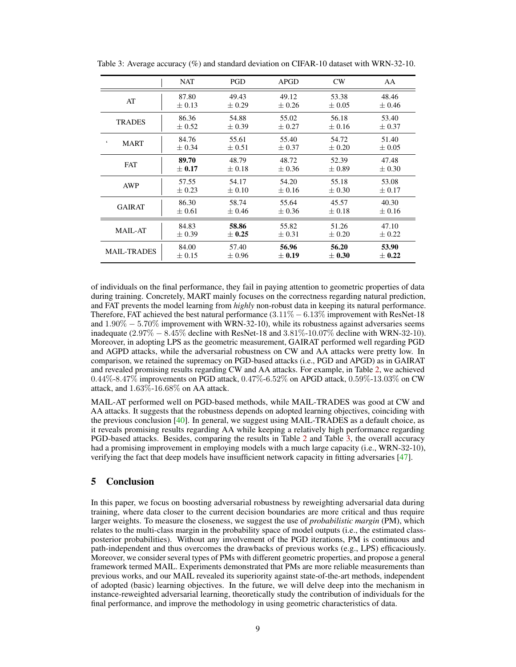|                          | <b>NAT</b> | PGD        | <b>APGD</b> | CW         | AA         |
|--------------------------|------------|------------|-------------|------------|------------|
| AT                       | 87.80      | 49.43      | 49.12       | 53.38      | 48.46      |
|                          | $\pm$ 0.13 | $+0.29$    | $+0.26$     | $+0.05$    | $\pm 0.46$ |
| <b>TRADES</b>            | 86.36      | 54.88      | 55.02       | 56.18      | 53.40      |
|                          | $\pm 0.52$ | $\pm 0.39$ | $\pm 0.27$  | $\pm 0.16$ | $\pm 0.37$ |
| $\boldsymbol{\varsigma}$ | 84.76      | 55.61      | 55.40       | 54.72      | 51.40      |
| <b>MART</b>              | $\pm 0.34$ | $\pm 0.51$ | $\pm 0.37$  | $\pm 0.20$ | $\pm 0.05$ |
| <b>FAT</b>               | 89.70      | 48.79      | 48.72       | 52.39      | 47.48      |
|                          | $\pm 0.17$ | $\pm$ 0.18 | $+0.36$     | $+0.89$    | $\pm 0.30$ |
| AWP                      | 57.55      | 54.17      | 54.20       | 55.18      | 53.08      |
|                          | $+0.23$    | $\pm 0.10$ | $\pm 0.16$  | $+0.30$    | $\pm$ 0.17 |
| <b>GAIRAT</b>            | 86.30      | 58.74      | 55.64       | 45.57      | 40.30      |
|                          | $\pm 0.61$ | $\pm 0.46$ | $\pm 0.36$  | $\pm 0.18$ | $\pm 0.16$ |
| <b>MAIL-AT</b>           | 84.83      | 58.86      | 55.82       | 51.26      | 47.10      |
|                          | $\pm 0.39$ | $+0.25$    | $\pm 0.31$  | $\pm 0.20$ | $+0.22$    |
| <b>MAIL-TRADES</b>       | 84.00      | 57.40      | 56.96       | 56.20      | 53.90      |
|                          | $\pm$ 0.15 | $\pm 0.96$ | $\pm$ 0.19  | $\pm 0.30$ | $\pm$ 0.22 |

<span id="page-8-0"></span>Table 3: Average accuracy (%) and standard deviation on CIFAR-10 dataset with WRN-32-10.

of individuals on the final performance, they fail in paying attention to geometric properties of data during training. Concretely, MART mainly focuses on the correctness regarding natural prediction, and FAT prevents the model learning from *highly* non-robust data in keeping its natural performance. Therefore, FAT achieved the best natural performance  $(3.11\% - 6.13\%$  improvement with ResNet-18 and 1.90% − 5.70% improvement with WRN-32-10), while its robustness against adversaries seems inadequate  $(2.97\% - 8.45\%$  decline with ResNet-18 and  $3.81\%$ -10.07% decline with WRN-32-10). Moreover, in adopting LPS as the geometric measurement, GAIRAT performed well regarding PGD and AGPD attacks, while the adversarial robustness on CW and AA attacks were pretty low. In comparison, we retained the supremacy on PGD-based attacks (i.e., PGD and APGD) as in GAIRAT and revealed promising results regarding CW and AA attacks. For example, in Table [2,](#page-7-1) we achieved 0.44%-8.47% improvements on PGD attack, 0.47%-6.52% on APGD attack, 0.59%-13.03% on CW attack, and  $1.63\%$ -16.68% on AA attack.

MAIL-AT performed well on PGD-based methods, while MAIL-TRADES was good at CW and AA attacks. It suggests that the robustness depends on adopted learning objectives, coinciding with the previous conclusion [\[40\]](#page-11-6). In general, we suggest using MAIL-TRADES as a default choice, as it reveals promising results regarding AA while keeping a relatively high performance regarding PGD-based attacks. Besides, comparing the results in Table [2](#page-7-1) and Table [3,](#page-8-0) the overall accuracy had a promising improvement in employing models with a much large capacity (i.e., WRN-32-10), verifying the fact that deep models have insufficient network capacity in fitting adversaries [\[47\]](#page-11-4).

# 5 Conclusion

In this paper, we focus on boosting adversarial robustness by reweighting adversarial data during training, where data closer to the current decision boundaries are more critical and thus require larger weights. To measure the closeness, we suggest the use of *probabilistic margin* (PM), which relates to the multi-class margin in the probability space of model outputs (i.e., the estimated classposterior probabilities). Without any involvement of the PGD iterations, PM is continuous and path-independent and thus overcomes the drawbacks of previous works (e.g., LPS) efficaciously. Moreover, we consider several types of PMs with different geometric properties, and propose a general framework termed MAIL. Experiments demonstrated that PMs are more reliable measurements than previous works, and our MAIL revealed its superiority against state-of-the-art methods, independent of adopted (basic) learning objectives. In the future, we will delve deep into the mechanism in instance-reweighted adversarial learning, theoretically study the contribution of individuals for the final performance, and improve the methodology in using geometric characteristics of data.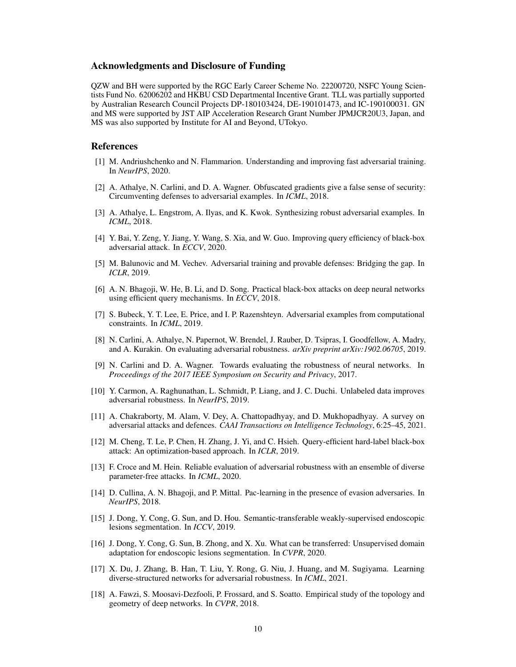## Acknowledgments and Disclosure of Funding

QZW and BH were supported by the RGC Early Career Scheme No. 22200720, NSFC Young Scientists Fund No. 62006202 and HKBU CSD Departmental Incentive Grant. TLL was partially supported by Australian Research Council Projects DP-180103424, DE-190101473, and IC-190100031. GN and MS were supported by JST AIP Acceleration Research Grant Number JPMJCR20U3, Japan, and MS was also supported by Institute for AI and Beyond, UTokyo.

## References

- <span id="page-9-6"></span>[1] M. Andriushchenko and N. Flammarion. Understanding and improving fast adversarial training. In *NeurIPS*, 2020.
- <span id="page-9-4"></span>[2] A. Athalye, N. Carlini, and D. A. Wagner. Obfuscated gradients give a false sense of security: Circumventing defenses to adversarial examples. In *ICML*, 2018.
- <span id="page-9-1"></span>[3] A. Athalye, L. Engstrom, A. Ilyas, and K. Kwok. Synthesizing robust adversarial examples. In *ICML*, 2018.
- <span id="page-9-13"></span>[4] Y. Bai, Y. Zeng, Y. Jiang, Y. Wang, S. Xia, and W. Guo. Improving query efficiency of black-box adversarial attack. In *ECCV*, 2020.
- [5] M. Balunovic and M. Vechev. Adversarial training and provable defenses: Bridging the gap. In *ICLR*, 2019.
- [6] A. N. Bhagoji, W. He, B. Li, and D. Song. Practical black-box attacks on deep neural networks using efficient query mechanisms. In *ECCV*, 2018.
- <span id="page-9-7"></span>[7] S. Bubeck, Y. T. Lee, E. Price, and I. P. Razenshteyn. Adversarial examples from computational constraints. In *ICML*, 2019.
- <span id="page-9-11"></span>[8] N. Carlini, A. Athalye, N. Papernot, W. Brendel, J. Rauber, D. Tsipras, I. Goodfellow, A. Madry, and A. Kurakin. On evaluating adversarial robustness. *arXiv preprint arXiv:1902.06705*, 2019.
- <span id="page-9-10"></span>[9] N. Carlini and D. A. Wagner. Towards evaluating the robustness of neural networks. In *Proceedings of the 2017 IEEE Symposium on Security and Privacy*, 2017.
- <span id="page-9-5"></span>[10] Y. Carmon, A. Raghunathan, L. Schmidt, P. Liang, and J. C. Duchi. Unlabeled data improves adversarial robustness. In *NeurIPS*, 2019.
- <span id="page-9-15"></span>[11] A. Chakraborty, M. Alam, V. Dey, A. Chattopadhyay, and D. Mukhopadhyay. A survey on adversarial attacks and defences. *CAAI Transactions on Intelligence Technology*, 6:25–45, 2021.
- <span id="page-9-14"></span>[12] M. Cheng, T. Le, P. Chen, H. Zhang, J. Yi, and C. Hsieh. Query-efficient hard-label black-box attack: An optimization-based approach. In *ICLR*, 2019.
- <span id="page-9-12"></span>[13] F. Croce and M. Hein. Reliable evaluation of adversarial robustness with an ensemble of diverse parameter-free attacks. In *ICML*, 2020.
- <span id="page-9-8"></span>[14] D. Cullina, A. N. Bhagoji, and P. Mittal. Pac-learning in the presence of evasion adversaries. In *NeurIPS*, 2018.
- <span id="page-9-2"></span>[15] J. Dong, Y. Cong, G. Sun, and D. Hou. Semantic-transferable weakly-supervised endoscopic lesions segmentation. In *ICCV*, 2019.
- <span id="page-9-3"></span>[16] J. Dong, Y. Cong, G. Sun, B. Zhong, and X. Xu. What can be transferred: Unsupervised domain adaptation for endoscopic lesions segmentation. In *CVPR*, 2020.
- <span id="page-9-0"></span>[17] X. Du, J. Zhang, B. Han, T. Liu, Y. Rong, G. Niu, J. Huang, and M. Sugiyama. Learning diverse-structured networks for adversarial robustness. In *ICML*, 2021.
- <span id="page-9-9"></span>[18] A. Fawzi, S. Moosavi-Dezfooli, P. Frossard, and S. Soatto. Empirical study of the topology and geometry of deep networks. In *CVPR*, 2018.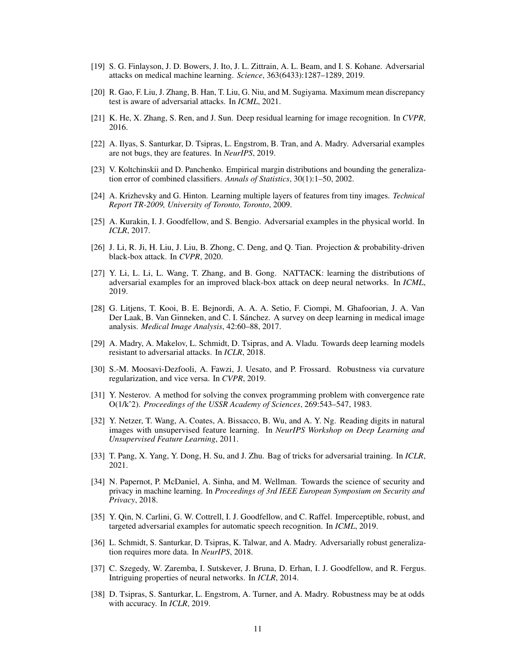- <span id="page-10-4"></span>[19] S. G. Finlayson, J. D. Bowers, J. Ito, J. L. Zittrain, A. L. Beam, and I. S. Kohane. Adversarial attacks on medical machine learning. *Science*, 363(6433):1287–1289, 2019.
- <span id="page-10-0"></span>[20] R. Gao, F. Liu, J. Zhang, B. Han, T. Liu, G. Niu, and M. Sugiyama. Maximum mean discrepancy test is aware of adversarial attacks. In *ICML*, 2021.
- <span id="page-10-16"></span>[21] K. He, X. Zhang, S. Ren, and J. Sun. Deep residual learning for image recognition. In *CVPR*, 2016.
- <span id="page-10-10"></span>[22] A. Ilyas, S. Santurkar, D. Tsipras, L. Engstrom, B. Tran, and A. Madry. Adversarial examples are not bugs, they are features. In *NeurIPS*, 2019.
- <span id="page-10-12"></span>[23] V. Koltchinskii and D. Panchenko. Empirical margin distributions and bounding the generalization error of combined classifiers. *Annals of Statistics*, 30(1):1–50, 2002.
- <span id="page-10-14"></span>[24] A. Krizhevsky and G. Hinton. Learning multiple layers of features from tiny images. *Technical Report TR-2009, University of Toronto, Toronto*, 2009.
- <span id="page-10-5"></span>[25] A. Kurakin, I. J. Goodfellow, and S. Bengio. Adversarial examples in the physical world. In *ICLR*, 2017.
- <span id="page-10-17"></span>[26] J. Li, R. Ji, H. Liu, J. Liu, B. Zhong, C. Deng, and Q. Tian. Projection & probability-driven black-box attack. In *CVPR*, 2020.
- <span id="page-10-18"></span>[27] Y. Li, L. Li, L. Wang, T. Zhang, and B. Gong. NATTACK: learning the distributions of adversarial examples for an improved black-box attack on deep neural networks. In *ICML*, 2019.
- <span id="page-10-3"></span>[28] G. Litjens, T. Kooi, B. E. Bejnordi, A. A. A. Setio, F. Ciompi, M. Ghafoorian, J. A. Van Der Laak, B. Van Ginneken, and C. I. Sánchez. A survey on deep learning in medical image analysis. *Medical Image Analysis*, 42:60–88, 2017.
- <span id="page-10-7"></span>[29] A. Madry, A. Makelov, L. Schmidt, D. Tsipras, and A. Vladu. Towards deep learning models resistant to adversarial attacks. In *ICLR*, 2018.
- <span id="page-10-6"></span>[30] S.-M. Moosavi-Dezfooli, A. Fawzi, J. Uesato, and P. Frossard. Robustness via curvature regularization, and vice versa. In *CVPR*, 2019.
- <span id="page-10-13"></span>[31] Y. Nesterov. A method for solving the convex programming problem with convergence rate O(1/kˆ2). *Proceedings of the USSR Academy of Sciences*, 269:543–547, 1983.
- <span id="page-10-15"></span>[32] Y. Netzer, T. Wang, A. Coates, A. Bissacco, B. Wu, and A. Y. Ng. Reading digits in natural images with unsupervised feature learning. In *NeurIPS Workshop on Deep Learning and Unsupervised Feature Learning*, 2011.
- <span id="page-10-9"></span>[33] T. Pang, X. Yang, Y. Dong, H. Su, and J. Zhu. Bag of tricks for adversarial training. In *ICLR*, 2021.
- [34] N. Papernot, P. McDaniel, A. Sinha, and M. Wellman. Towards the science of security and privacy in machine learning. In *Proceedings of 3rd IEEE European Symposium on Security and Privacy*, 2018.
- <span id="page-10-2"></span>[35] Y. Qin, N. Carlini, G. W. Cottrell, I. J. Goodfellow, and C. Raffel. Imperceptible, robust, and targeted adversarial examples for automatic speech recognition. In *ICML*, 2019.
- <span id="page-10-8"></span>[36] L. Schmidt, S. Santurkar, D. Tsipras, K. Talwar, and A. Madry. Adversarially robust generalization requires more data. In *NeurIPS*, 2018.
- <span id="page-10-1"></span>[37] C. Szegedy, W. Zaremba, I. Sutskever, J. Bruna, D. Erhan, I. J. Goodfellow, and R. Fergus. Intriguing properties of neural networks. In *ICLR*, 2014.
- <span id="page-10-11"></span>[38] D. Tsipras, S. Santurkar, L. Engstrom, A. Turner, and A. Madry. Robustness may be at odds with accuracy. In *ICLR*, 2019.